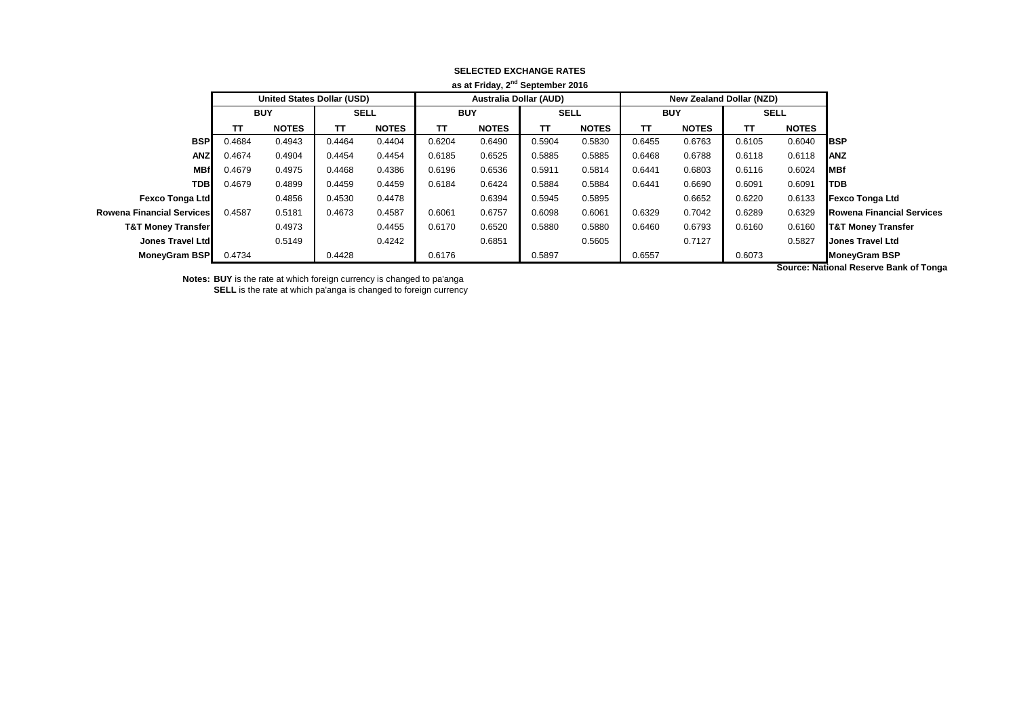| as at Friday, 2"" September 2016 |            |                                   |             |              |            |                               |             |              |            |                                 |             |              |                                  |
|----------------------------------|------------|-----------------------------------|-------------|--------------|------------|-------------------------------|-------------|--------------|------------|---------------------------------|-------------|--------------|----------------------------------|
|                                  |            | <b>United States Dollar (USD)</b> |             |              |            | <b>Australia Dollar (AUD)</b> |             |              |            | <b>New Zealand Dollar (NZD)</b> |             |              |                                  |
|                                  | <b>BUY</b> |                                   | <b>SELL</b> |              | <b>BUY</b> |                               | <b>SELL</b> |              | <b>BUY</b> |                                 | <b>SELL</b> |              |                                  |
|                                  | тτ         | <b>NOTES</b>                      | ΤТ          | <b>NOTES</b> | TΤ         | <b>NOTES</b>                  | TΤ          | <b>NOTES</b> | TΤ         | <b>NOTES</b>                    | TΤ          | <b>NOTES</b> |                                  |
| <b>BSP</b>                       | 0.4684     | 0.4943                            | 0.4464      | 0.4404       | 0.6204     | 0.6490                        | 0.5904      | 0.5830       | 0.6455     | 0.6763                          | 0.6105      | 0.6040       | <b>IBSP</b>                      |
| <b>ANZ</b>                       | 0.4674     | 0.4904                            | 0.4454      | 0.4454       | 0.6185     | 0.6525                        | 0.5885      | 0.5885       | 0.6468     | 0.6788                          | 0.6118      | 0.6118       | <b>IANZ</b>                      |
| <b>MBf</b>                       | 0.4679     | 0.4975                            | 0.4468      | 0.4386       | 0.6196     | 0.6536                        | 0.5911      | 0.5814       | 0.6441     | 0.6803                          | 0.6116      | 0.6024       | <b>MBf</b>                       |
| <b>TDB</b>                       | 0.4679     | 0.4899                            | 0.4459      | 0.4459       | 0.6184     | 0.6424                        | 0.5884      | 0.5884       | 0.6441     | 0.6690                          | 0.6091      | 0.6091       | <b>TDB</b>                       |
| <b>Fexco Tonga Ltd</b>           |            | 0.4856                            | 0.4530      | 0.4478       |            | 0.6394                        | 0.5945      | 0.5895       |            | 0.6652                          | 0.6220      | 0.6133       | <b>Fexco Tonga Ltd</b>           |
| <b>Rowena Financial Services</b> | 0.4587     | 0.5181                            | 0.4673      | 0.4587       | 0.6061     | 0.6757                        | 0.6098      | 0.6061       | 0.6329     | 0.7042                          | 0.6289      | 0.6329       | <b>Rowena Financial Services</b> |
| <b>T&amp;T Money Transfer</b>    |            | 0.4973                            |             | 0.4455       | 0.6170     | 0.6520                        | 0.5880      | 0.5880       | 0.6460     | 0.6793                          | 0.6160      | 0.6160       | <b>T&amp;T Money Transfer</b>    |
| Jones Travel Ltd                 |            | 0.5149                            |             | 0.4242       |            | 0.6851                        |             | 0.5605       |            | 0.7127                          |             | 0.5827       | <b>Jones Travel Ltd</b>          |
| <b>MoneyGram BSP</b>             | 0.4734     |                                   | 0.4428      |              | 0.6176     |                               | 0.5897      |              | 0.6557     |                                 | 0.6073      |              | <b>MoneyGram BSP</b>             |
|                                  |            |                                   |             |              |            |                               |             |              |            |                                 |             |              | .                                |

## **SELECTED EXCHANGE RATES as at Friday, 2nd September 2016**

**Notes: BUY** is the rate at which foreign currency is changed to pa'anga

**SELL** is the rate at which pa'anga is changed to foreign currency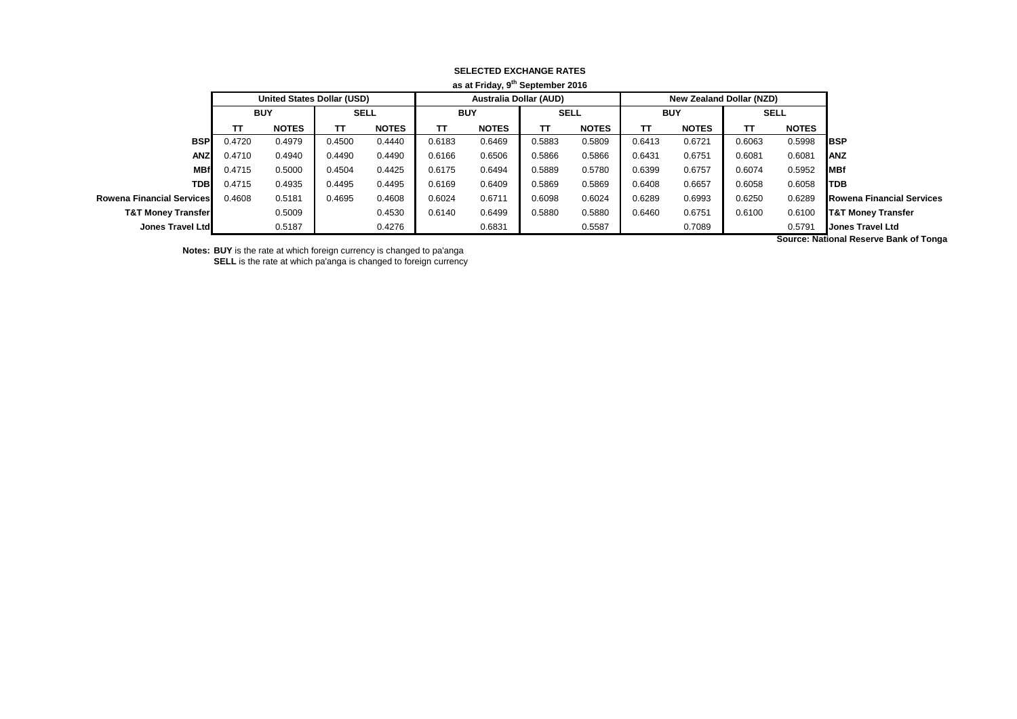|                                  | as at Friday, 9 <sup>th</sup> September 2016 |                                   |             |              |            |                               |             |              |            |                          |             |              |                                                 |
|----------------------------------|----------------------------------------------|-----------------------------------|-------------|--------------|------------|-------------------------------|-------------|--------------|------------|--------------------------|-------------|--------------|-------------------------------------------------|
|                                  |                                              | <b>United States Dollar (USD)</b> |             |              |            | <b>Australia Dollar (AUD)</b> |             |              |            | New Zealand Dollar (NZD) |             |              |                                                 |
|                                  | <b>BUY</b>                                   |                                   | <b>SELL</b> |              | <b>BUY</b> |                               | <b>SELL</b> |              | <b>BUY</b> |                          | <b>SELL</b> |              |                                                 |
|                                  | тτ                                           | <b>NOTES</b>                      | TΤ          | <b>NOTES</b> | TΤ         | <b>NOTES</b>                  | TΤ          | <b>NOTES</b> | TΤ         | <b>NOTES</b>             | TΤ          | <b>NOTES</b> |                                                 |
| <b>BSP</b>                       | 0.4720                                       | 0.4979                            | 0.4500      | 0.4440       | 0.6183     | 0.6469                        | 0.5883      | 0.5809       | 0.6413     | 0.6721                   | 0.6063      | 0.5998       | <b>IBSP</b>                                     |
| <b>ANZ</b>                       | 0.4710                                       | 0.4940                            | 0.4490      | 0.4490       | 0.6166     | 0.6506                        | 0.5866      | 0.5866       | 0.6431     | 0.6751                   | 0.6081      | 0.6081       | <b>IANZ</b>                                     |
| <b>MBf</b>                       | 0.4715                                       | 0.5000                            | 0.4504      | 0.4425       | 0.6175     | 0.6494                        | 0.5889      | 0.5780       | 0.6399     | 0.6757                   | 0.6074      | 0.5952       | <b>IMBf</b>                                     |
| <b>TDBI</b>                      | 0.4715                                       | 0.4935                            | 0.4495      | 0.4495       | 0.6169     | 0.6409                        | 0.5869      | 0.5869       | 0.6408     | 0.6657                   | 0.6058      | 0.6058       | <b>I</b> TDB                                    |
| <b>Rowena Financial Services</b> | 0.4608                                       | 0.5181                            | 0.4695      | 0.4608       | 0.6024     | 0.6711                        | 0.6098      | 0.6024       | 0.6289     | 0.6993                   | 0.6250      | 0.6289       | <b>Rowena Financial Services</b>                |
| <b>T&amp;T Money Transfer</b>    |                                              | 0.5009                            |             | 0.4530       | 0.6140     | 0.6499                        | 0.5880      | 0.5880       | 0.6460     | 0.6751                   | 0.6100      | 0.6100       | <b>T&amp;T Money Transfer</b>                   |
| Jones Travel Ltd                 |                                              | 0.5187                            |             | 0.4276       |            | 0.6831                        |             | 0.5587       |            | 0.7089                   |             | 0.5791       | <b>Jones Travel Ltd</b>                         |
|                                  |                                              |                                   |             |              |            |                               |             |              |            |                          |             |              | According Mathematics and according to the com- |

## **SELECTED EXCHANGE RATES**

**Notes: BUY** is the rate at which foreign currency is changed to pa'anga

**SELL** is the rate at which pa'anga is changed to foreign currency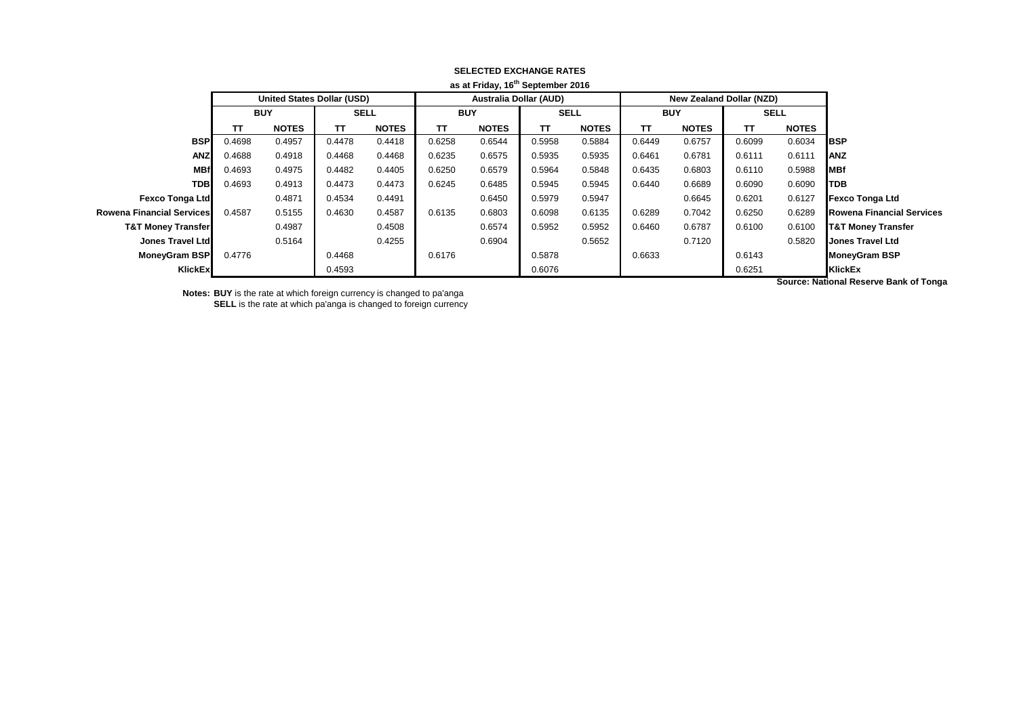|                                  |                                   |              |             |              |            | as at Friday, to September 2016 |             |              |            |                          |             |                      |                                  |
|----------------------------------|-----------------------------------|--------------|-------------|--------------|------------|---------------------------------|-------------|--------------|------------|--------------------------|-------------|----------------------|----------------------------------|
|                                  | <b>United States Dollar (USD)</b> |              |             |              |            | <b>Australia Dollar (AUD)</b>   |             |              |            | New Zealand Dollar (NZD) |             |                      |                                  |
|                                  | <b>BUY</b>                        |              | <b>SELL</b> |              | <b>BUY</b> |                                 | <b>SELL</b> |              | <b>BUY</b> |                          | <b>SELL</b> |                      |                                  |
|                                  | ΤТ                                | <b>NOTES</b> | TΤ          | <b>NOTES</b> | TΤ         | <b>NOTES</b>                    | TΤ          | <b>NOTES</b> | TΤ         | <b>NOTES</b>             | TΤ          | <b>NOTES</b>         |                                  |
| <b>BSP</b>                       | 0.4698                            | 0.4957       | 0.4478      | 0.4418       | 0.6258     | 0.6544                          | 0.5958      | 0.5884       | 0.6449     | 0.6757                   | 0.6099      | 0.6034               | <b>IBSP</b>                      |
| <b>ANZ</b>                       | 0.4688                            | 0.4918       | 0.4468      | 0.4468       | 0.6235     | 0.6575                          | 0.5935      | 0.5935       | 0.6461     | 0.6781                   | 0.6111      | 0.6111               | <b>ANZ</b>                       |
| <b>MBf</b>                       | 0.4693                            | 0.4975       | 0.4482      | 0.4405       | 0.6250     | 0.6579                          | 0.5964      | 0.5848       | 0.6435     | 0.6803                   | 0.6110      | 0.5988               | <b>MBf</b>                       |
| <b>TDB</b>                       | 0.4693                            | 0.4913       | 0.4473      | 0.4473       | 0.6245     | 0.6485                          | 0.5945      | 0.5945       | 0.6440     | 0.6689                   | 0.6090      | 0.6090               | TDB                              |
| <b>Fexco Tonga Ltd</b>           |                                   | 0.4871       | 0.4534      | 0.4491       |            | 0.6450                          | 0.5979      | 0.5947       |            | 0.6645                   | 0.6201      | 0.6127               | <b>Fexco Tonga Ltd</b>           |
| <b>Rowena Financial Services</b> | 0.4587                            | 0.5155       | 0.4630      | 0.4587       | 0.6135     | 0.6803                          | 0.6098      | 0.6135       | 0.6289     | 0.7042                   | 0.6250      | 0.6289               | <b>Rowena Financial Services</b> |
| <b>T&amp;T Money Transfer</b>    |                                   | 0.4987       |             | 0.4508       |            | 0.6574                          | 0.5952      | 0.5952       | 0.6460     | 0.6787                   | 0.6100      | 0.6100               | <b>T&amp;T Money Transfer</b>    |
| Jones Travel Ltd                 |                                   | 0.5164       |             | 0.4255       |            | 0.6904                          |             | 0.5652       |            | 0.7120                   |             | 0.5820               | <b>Jones Travel Ltd</b>          |
| MoneyGram BSP                    | 0.4776                            |              | 0.4468      |              | 0.6176     |                                 | 0.5878      |              | 0.6633     |                          | 0.6143      |                      | <b>MoneyGram BSP</b>             |
| KlickEx                          |                                   |              | 0.4593      |              |            |                                 | 0.6076      |              |            |                          | 0.6251      |                      | <b>KlickEx</b>                   |
|                                  |                                   |              |             |              |            |                                 |             |              |            |                          |             | $\sim$ $\sim$ $\sim$ |                                  |

## **SELECTED EXCHANGE RATES as at Friday, 16th September 2016**

**Notes: BUY** is the rate at which foreign currency is changed to pa'anga **SELL** is the rate at which pa'anga is changed to foreign currency